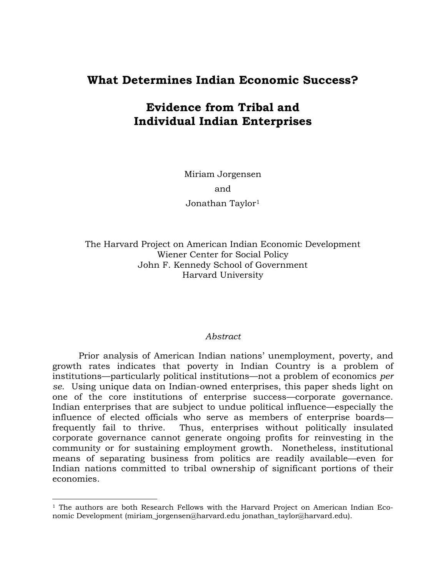# **What Determines Indian Economic Success?**

# **Evidence from Tribal and Individual Indian Enterprises**

Miriam Jorgensen and Jonathan Taylor[1](#page-0-0)

The Harvard Project on American Indian Economic Development Wiener Center for Social Policy John F. Kennedy School of Government Harvard University

#### *Abstract*

 Prior analysis of American Indian nations' unemployment, poverty, and growth rates indicates that poverty in Indian Country is a problem of institutions—particularly political institutions—not a problem of economics *per se*. Using unique data on Indian-owned enterprises, this paper sheds light on one of the core institutions of enterprise success—corporate governance. Indian enterprises that are subject to undue political influence—especially the influence of elected officials who serve as members of enterprise boards frequently fail to thrive. Thus, enterprises without politically insulated corporate governance cannot generate ongoing profits for reinvesting in the community or for sustaining employment growth. Nonetheless, institutional means of separating business from politics are readily available—even for Indian nations committed to tribal ownership of significant portions of their economies.

 $\overline{a}$ 

<span id="page-0-0"></span><sup>&</sup>lt;sup>1</sup> The authors are both Research Fellows with the Harvard Project on American Indian Economic Development (miriam\_jorgensen@harvard.edu jonathan\_taylor@harvard.edu).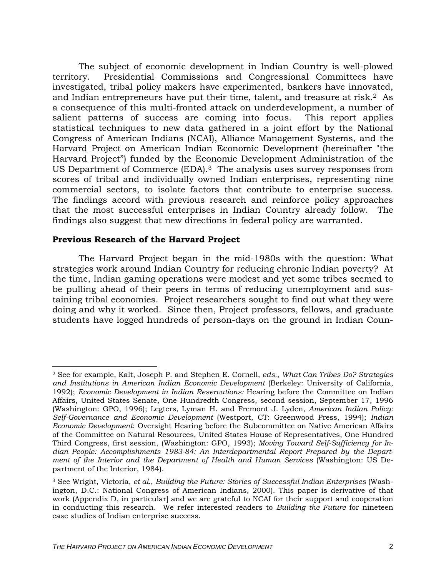The subject of economic development in Indian Country is well-plowed territory. Presidential Commissions and Congressional Committees have investigated, tribal policy makers have experimented, bankers have innovated, and Indian entrepreneurs have put their time, talent, and treasure at risk.2 As a consequence of this multi-fronted attack on underdevelopment, a num[ber](#page-1-0) of salient patterns of success are coming into focus. This report applies statistical techniques to new data gathered in a joint effort by the National Congress of American Indians (NCAI), Alliance Management Systems, and the Harvard Project on American Indian Economic Development (hereinafter "the Harvard Project") funded by the Economic Development Administration of the US Department of Commerce (EDA).<sup>3</sup> The analysis uses survey responses from scores of tribal and individually o[wn](#page-1-1)ed Indian enterprises, representing nine commercial sectors, to isolate factors that contribute to enterprise success. The findings accord with previous research and reinforce policy approaches that the most successful enterprises in Indian Country already follow. The findings also suggest that new directions in federal policy are warranted.

### **Previous Research of the Harvard Project**

The Harvard Project began in the mid-1980s with the question: What strategies work around Indian Country for reducing chronic Indian poverty? At the time, Indian gaming operations were modest and yet some tribes seemed to be pulling ahead of their peers in terms of reducing unemployment and sustaining tribal economies. Project researchers sought to find out what they were doing and why it worked. Since then, Project professors, fellows, and graduate students have logged hundreds of person-days on the ground in Indian Coun-

<span id="page-1-0"></span> <sup>2</sup> See for example, Kalt, Joseph P. and Stephen E. Cornell, *eds.*, *What Can Tribes Do? Strategies and Institutions in American Indian Economic Development* (Berkeley: University of California, 1992); *Economic Development in Indian Reservations:* Hearing before the Committee on Indian Affairs, United States Senate, One Hundredth Congress, second session, September 17, 1996 (Washington: GPO, 1996); Legters, Lyman H. and Fremont J. Lyden, *American Indian Policy: Self-Governance and Economic Development* (Westport, CT: Greenwood Press, 1994); *Indian Economic Development*: Oversight Hearing before the Subcommittee on Native American Affairs of the Committee on Natural Resources, United States House of Representatives, One Hundred Third Congress, first session, (Washington: GPO, 1993); *Moving Toward Self-Sufficiency for Indian People: Accomplishments 1983-84: An Interdepartmental Report Prepared by the Department of the Interior and the Department of Health and Human Services* (Washington: US Department of the Interior, 1984).

<span id="page-1-1"></span><sup>3</sup> See Wright, Victoria, *et al.*, *Building the Future: Stories of Successful Indian Enterprises* (Washington, D.C.: National Congress of American Indians, 2000). This paper is derivative of that work (Appendix D, in particular] and we are grateful to NCAI for their support and cooperation in conducting this research. We refer interested readers to *Building the Future* for nineteen case studies of Indian enterprise success.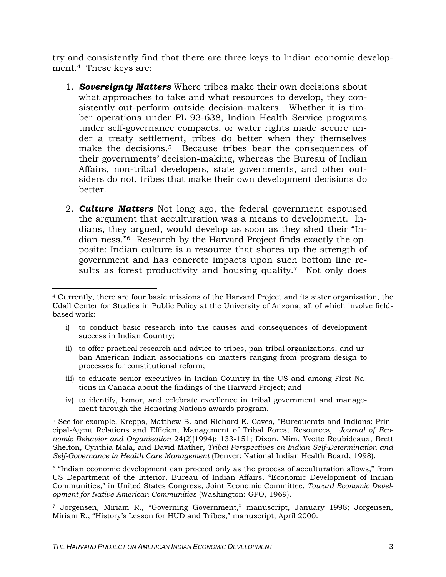try and consistently find that there are three keys to Indian economic development.4These keys are:

- 1. *Sovereignty Matters* Where tribes make their own decisions about what approaches to take and what resources to develop, they consistently out-perform outside decision-makers. Whether it is timber operations under PL 93-638, Indian Health Service programs under self-governance compacts, or water rights made secure under a treaty settlement, tribes do better when they themselves make the decisions.<sup>5</sup> Because tribes bear the consequences of their governments' d[ec](#page-2-1)ision-making, whereas the Bureau of Indian Affairs, non-tribal developers, state governments, and other outsiders do not, tribes that make their own development decisions do better.
- 2. *Culture Matters* Not long ago, the federal government espoused the argument that acculturation was a means to development. Indians, they argued, would develop as soon as they shed their "Indian-ness."6 Research by the Harvard Project finds exactly the opposite: Ind[ia](#page-2-2)n culture is a resource that shores up the strength of government and has concrete impacts upon such bottom line resultsas forest productivity and housing quality.<sup>7</sup> Not only does

- i) to conduct basic research into the causes and consequences of development success in Indian Country;
- ii) to offer practical research and advice to tribes, pan-tribal organizations, and urban American Indian associations on matters ranging from program design to processes for constitutional reform;
- iii) to educate senior executives in Indian Country in the US and among First Nations in Canada about the findings of the Harvard Project; and
- iv) to identify, honor, and celebrate excellence in tribal government and management through the Honoring Nations awards program.

<span id="page-2-1"></span>5 See for example, Krepps, Matthew B. and Richard E. Caves, "Bureaucrats and Indians: Principal-Agent Relations and Efficient Management of Tribal Forest Resources," *Journal of Economic Behavior and Organization* 24(2)(1994): 133-151; Dixon, Mim, Yvette Roubideaux, Brett Shelton, Cynthia Mala, and David Mather, *Tribal Perspectives on Indian Self-Determination and Self-Governance in Health Care Management* (Denver: National Indian Health Board, 1998).

<span id="page-2-2"></span>6 "Indian economic development can proceed only as the process of acculturation allows," from US Department of the Interior, Bureau of Indian Affairs, "Economic Development of Indian Communities," in United States Congress, Joint Economic Committee, *Toward Economic Development for Native American Communities* (Washington: GPO, 1969).

<span id="page-2-3"></span>7 Jorgensen, Miriam R., "Governing Government," manuscript, January 1998; Jorgensen, Miriam R., "History's Lesson for HUD and Tribes," manuscript, April 2000.

<span id="page-2-0"></span> <sup>4</sup> Currently, there are four basic missions of the Harvard Project and its sister organization, the Udall Center for Studies in Public Policy at the University of Arizona, all of which involve fieldbased work: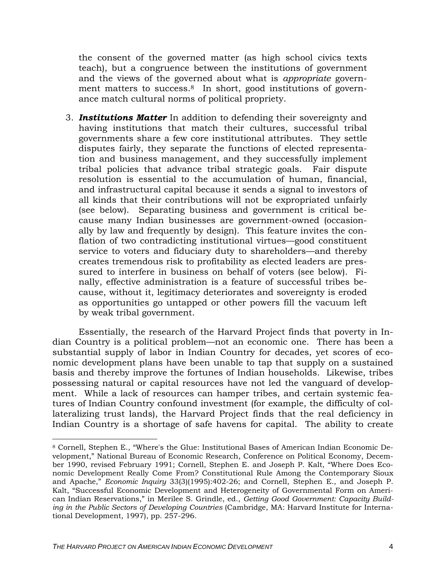the consent of the governed matter (as high school civics texts teach), but a congruence between the institutions of government and the views of the governed about what is *appropriate* government matters to success.<sup>8</sup> In short, good institutions of governance match cultural norm[s](#page-3-0) of political propriety.

3. *Institutions Matter* In addition to defending their sovereignty and having institutions that match their cultures, successful tribal governments share a few core institutional attributes. They settle disputes fairly, they separate the functions of elected representation and business management, and they successfully implement tribal policies that advance tribal strategic goals. Fair dispute resolution is essential to the accumulation of human, financial, and infrastructural capital because it sends a signal to investors of all kinds that their contributions will not be expropriated unfairly (see below). Separating business and government is critical because many Indian businesses are government-owned (occasionally by law and frequently by design). This feature invites the conflation of two contradicting institutional virtues—good constituent service to voters and fiduciary duty to shareholders—and thereby creates tremendous risk to profitability as elected leaders are pressured to interfere in business on behalf of voters (see below). Finally, effective administration is a feature of successful tribes because, without it, legitimacy deteriorates and sovereignty is eroded as opportunities go untapped or other powers fill the vacuum left by weak tribal government.

Essentially, the research of the Harvard Project finds that poverty in Indian Country is a political problem—not an economic one. There has been a substantial supply of labor in Indian Country for decades, yet scores of economic development plans have been unable to tap that supply on a sustained basis and thereby improve the fortunes of Indian households. Likewise, tribes possessing natural or capital resources have not led the vanguard of development. While a lack of resources can hamper tribes, and certain systemic features of Indian Country confound investment (for example, the difficulty of collateralizing trust lands), the Harvard Project finds that the real deficiency in Indian Country is a shortage of safe havens for capital. The ability to create

<span id="page-3-0"></span> <sup>8</sup> Cornell, Stephen E., "Where's the Glue: Institutional Bases of American Indian Economic Development," National Bureau of Economic Research, Conference on Political Economy, December 1990, revised February 1991; Cornell, Stephen E. and Joseph P. Kalt, "Where Does Economic Development Really Come From? Constitutional Rule Among the Contemporary Sioux and Apache," *Economic Inquiry* 33(3)(1995):402-26; and Cornell, Stephen E., and Joseph P. Kalt, "Successful Economic Development and Heterogeneity of Governmental Form on American Indian Reservations," in Merilee S. Grindle, ed., *Getting Good Government: Capacity Building in the Public Sectors of Developing Countries* (Cambridge, MA: Harvard Institute for International Development, 1997), pp. 257-296.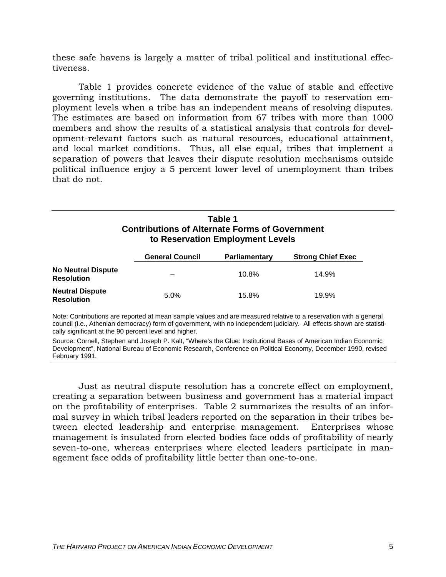these safe havens is largely a matter of tribal political and institutional effectiveness.

[Table 1](#page-4-0) provides concrete evidence of the value of stable and effective governing institutions. The data demonstrate the payoff to reservation employment levels when a tribe has an independent means of resolving disputes. The estimates are based on information from 67 tribes with more than 1000 members and show the results of a statistical analysis that controls for development-relevant factors such as natural resources, educational attainment, and local market conditions. Thus, all else equal, tribes that implement a separation of powers that leaves their dispute resolution mechanisms outside political influence enjoy a 5 percent lower level of unemployment than tribes that do not.

# <span id="page-4-0"></span>**Table 1 Contributions of Alternate Forms of Government to Reservation Employment Levels**

|                                                | <b>General Council</b> | <b>Parliamentary</b> | <b>Strong Chief Exec</b> |
|------------------------------------------------|------------------------|----------------------|--------------------------|
| <b>No Neutral Dispute</b><br><b>Resolution</b> |                        | $10.8\%$             | 14.9%                    |
| <b>Neutral Dispute</b><br><b>Resolution</b>    | 5.0%                   | 15.8%                | 19.9%                    |

Note: Contributions are reported at mean sample values and are measured relative to a reservation with a general council (i.e., Athenian democracy) form of government, with no independent judiciary. All effects shown are statistically significant at the 90 percent level and higher.

Source: Cornell, Stephen and Joseph P. Kalt, "Where's the Glue: Institutional Bases of American Indian Economic Development", National Bureau of Economic Research, Conference on Political Economy, December 1990, revised February 1991.

Just as neutral dispute resolution has a concrete effect on employment, creating a separation between business and government has a material impact on the profitability of enterprises. [Table 2](#page-5-0) summarizes the results of an informal survey in which tribal leaders reported on the separation in their tribes between elected leadership and enterprise management. Enterprises whose management is insulated from elected bodies face odds of profitability of nearly seven-to-one, whereas enterprises where elected leaders participate in management face odds of profitability little better than one-to-one.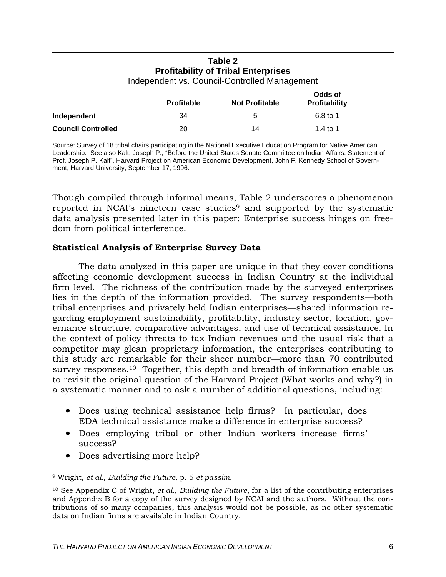# <span id="page-5-0"></span>**Table 2 Profitability of Tribal Enterprises**

Independent vs. Council-Controlled Management

|                           |                   | Odds of               |                      |
|---------------------------|-------------------|-----------------------|----------------------|
|                           | <b>Profitable</b> | <b>Not Profitable</b> | <b>Profitability</b> |
| Independent               | 34                | 5                     | 6.8 to 1             |
| <b>Council Controlled</b> | 20                | 14                    | 1.4 to 1             |

Source: Survey of 18 tribal chairs participating in the National Executive Education Program for Native American Leadership. See also Kalt, Joseph P., "Before the United States Senate Committee on Indian Affairs: Statement of Prof. Joseph P. Kalt", Harvard Project on American Economic Development, John F. Kennedy School of Government, Harvard University, September 17, 1996.

Though compiled through informal means, [Table 2](#page-5-0) underscores a phenomenon reported in NCAI's nineteen case studies<sup>9</sup> and supported by the systematic data analysis presented later in this paper: Enterprise success hinges on freedom from political interference.

# **Statistical Analysis of Enterprise Survey Data**

The data analyzed in this paper are unique in that they cover conditions affecting economic development success in Indian Country at the individual firm level. The richness of the contribution made by the surveyed enterprises lies in the depth of the information provided. The survey respondents—both tribal enterprises and privately held Indian enterprises—shared information regarding employment sustainability, profitability, industry sector, location, governance structure, comparative advantages, and use of technical assistance. In the context of policy threats to tax Indian revenues and the usual risk that a competitor may glean proprietary information, the enterprises contributing to this study are remarkable for their sheer number—more than 70 contributed survey responses.<sup>10</sup> Together, this depth and breadth of information enable us to revisit the origi[na](#page-5-2)l question of the Harvard Project (What works and why?) in a systematic manner and to ask a number of additional questions, including:

- Does using technical assistance help firms? In particular, does EDA technical assistance make a difference in enterprise success?
- Does employing tribal or other Indian workers increase firms' success?
- Does advertising more help?

<span id="page-5-1"></span> $\overline{a}$ 9 Wright, *et al.*, *Building the Future,* p. 5 *et passim.*

<span id="page-5-2"></span><sup>10</sup> See Appendix C of Wright, *et al.*, *Building the Future*, for a list of the contributing enterprises and Appendix B for a copy of the survey designed by NCAI and the authors. Without the contributions of so many companies, this analysis would not be possible, as no other systematic data on Indian firms are available in Indian Country.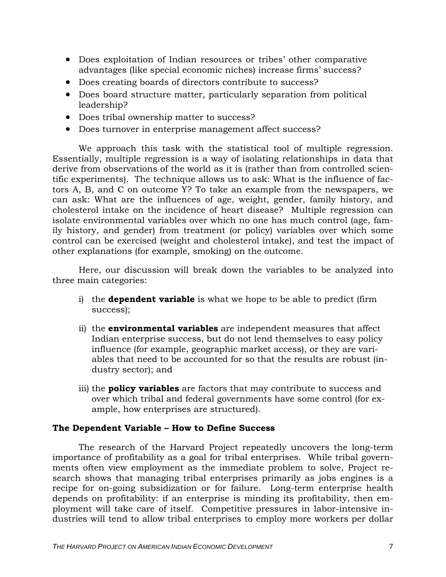- Does exploitation of Indian resources or tribes' other comparative advantages (like special economic niches) increase firms' success?
- Does creating boards of directors contribute to success?
- Does board structure matter, particularly separation from political leadership?
- Does tribal ownership matter to success?
- Does turnover in enterprise management affect success?

We approach this task with the statistical tool of multiple regression. Essentially, multiple regression is a way of isolating relationships in data that derive from observations of the world as it is (rather than from controlled scientific experiments). The technique allows us to ask: What is the influence of factors A, B, and C on outcome Y? To take an example from the newspapers, we can ask: What are the influences of age, weight, gender, family history, and cholesterol intake on the incidence of heart disease? Multiple regression can isolate environmental variables over which no one has much control (age, family history, and gender) from treatment (or policy) variables over which some control can be exercised (weight and cholesterol intake), and test the impact of other explanations (for example, smoking) on the outcome.

Here, our discussion will break down the variables to be analyzed into three main categories:

- i) the **dependent variable** is what we hope to be able to predict (firm success);
- ii) the **environmental variables** are independent measures that affect Indian enterprise success, but do not lend themselves to easy policy influence (for example, geographic market access), or they are variables that need to be accounted for so that the results are robust (industry sector); and
- <span id="page-6-0"></span>iii) the **policy variables** are factors that may contribute to success and over which tribal and federal governments have some control (for example, how enterprises are structured).

# **The Dependent Variable – How to Define Success**

The research of the Harvard Project repeatedly uncovers the long-term importance of profitability as a goal for tribal enterprises. While tribal governments often view employment as the immediate problem to solve, Project research shows that managing tribal enterprises primarily as jobs engines is a recipe for on-going subsidization or for failure. Long-term enterprise health depends on profitability: if an enterprise is minding its profitability, then employment will take care of itself. Competitive pressures in labor-intensive industries will tend to allow tribal enterprises to employ more workers per dollar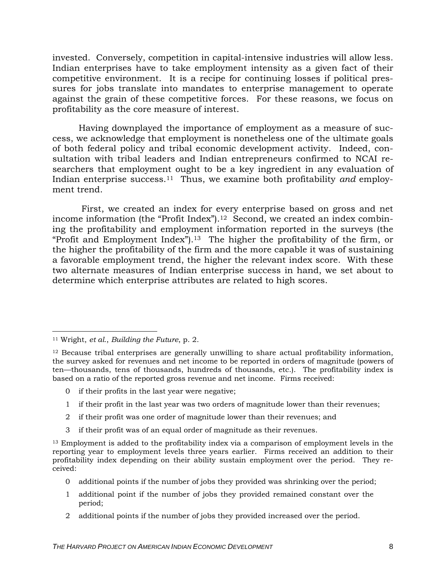invested. Conversely, competition in capital-intensive industries will allow less. Indian enterprises have to take employment intensity as a given fact of their competitive environment. It is a recipe for continuing losses if political pressures for jobs translate into mandates to enterprise management to operate against the grain of these competitive forces. For these reasons, we focus on profitability as the core measure of interest.

Having downplayed the importance of employment as a measure of success, we acknowledge that employment is nonetheless one of the ultimate goals of both federal policy and tribal economic development activity. Indeed, consultation with tribal leaders and Indian entrepreneurs confirmed to NCAI researchers that employment ought to be a key ingredient in any evaluation of Indian enterprise success.11Thus, we examine both profitability *and* employment trend.

First, we created an index for every enterprise based on gross and net income information (the "Profit Index").<sup>12</sup> Second, we created an index combining the profitability and employment i[nfo](#page-7-1)rmation reported in the surveys (the "Profit and Employment Index").<sup>13</sup> The higher the profitability of the firm, or the higher the profitability of the [fir](#page-7-2)m and the more capable it was of sustaining a favorable employment trend, the higher the relevant index score. With these two alternate measures of Indian enterprise success in hand, we set about to determine which enterprise attributes are related to high scores.

- 2 if their profit was one order of magnitude lower than their revenues; and
- 3 if their profit was of an equal order of magnitude as their revenues.

- 1 additional point if the number of jobs they provided remained constant over the period;
- 2 additional points if the number of jobs they provided increased over the period.

<span id="page-7-0"></span> <sup>11</sup> Wright, *et al.*, *Building the Future*, p. 2.

<span id="page-7-1"></span><sup>&</sup>lt;sup>12</sup> Because tribal enterprises are generally unwilling to share actual profitability information, the survey asked for revenues and net income to be reported in orders of magnitude (powers of ten—thousands, tens of thousands, hundreds of thousands, etc.). The profitability index is based on a ratio of the reported gross revenue and net income. Firms received:

<sup>0</sup> if their profits in the last year were negative;

<sup>1</sup> if their profit in the last year was two orders of magnitude lower than their revenues;

<span id="page-7-2"></span><sup>&</sup>lt;sup>13</sup> Employment is added to the profitability index via a comparison of employment levels in the reporting year to employment levels three years earlier. Firms received an addition to their profitability index depending on their ability sustain employment over the period. They received:

<sup>0</sup> additional points if the number of jobs they provided was shrinking over the period;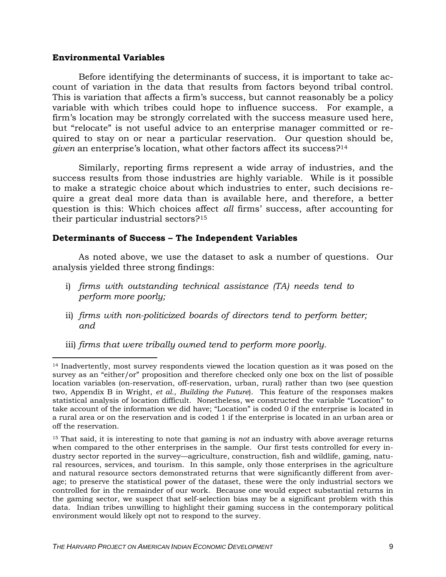#### **Environmental Variables**

Before identifying the determinants of success, it is important to take account of variation in the data that results from factors beyond tribal control. This is variation that affects a firm's success, but cannot reasonably be a policy variable with which tribes could hope to influence success. For example, a firm's location may be strongly correlated with the success measure used here, but "relocate" is not useful advice to an enterprise manager committed or required to stay on or near a particular reservation. Our question should be, *given* an enterprise's location, what other factors affect its success?14

Similarly, reporting firms represent a wide array of industries, and the success results from those industries are highly variable. While is it possible to make a strategic choice about which industries to enter, such decisions require a great deal more data than is available here, and therefore, a better question is this: Which choices affect *all* firms' success, after accounting for their particular industrial sectors?15

### **Determinants of Success – The Independent Variables**

As noted above, we use the dataset to ask a number of questions. Our analysis yielded three strong findings:

- <span id="page-8-2"></span>i) *firms with outstanding technical assistance (TA) needs tend to perform more poorly;*
- ii) *firms with non-politicized boards of directors tend to perform better; and*
- iii) *firms that were tribally owned tend to perform more poorly.*

<span id="page-8-0"></span> <sup>14</sup> Inadvertently, most survey respondents viewed the location question as it was posed on the survey as an "either/or" proposition and therefore checked only one box on the list of possible location variables (on-reservation, off-reservation, urban, rural) rather than two (see question two, Appendix B in Wright, *et al.*, *Building the Future*). This feature of the responses makes statistical analysis of location difficult. Nonetheless, we constructed the variable "Location" to take account of the information we did have; "Location" is coded 0 if the enterprise is located in a rural area or on the reservation and is coded 1 if the enterprise is located in an urban area or off the reservation.

<span id="page-8-1"></span><sup>15</sup> That said, it is interesting to note that gaming is *not* an industry with above average returns when compared to the other enterprises in the sample. Our first tests controlled for every industry sector reported in the survey—agriculture, construction, fish and wildlife, gaming, natural resources, services, and tourism. In this sample, only those enterprises in the agriculture and natural resource sectors demonstrated returns that were significantly different from average; to preserve the statistical power of the dataset, these were the only industrial sectors we controlled for in the remainder of our work. Because one would expect substantial returns in the gaming sector, we suspect that self-selection bias may be a significant problem with this data. Indian tribes unwilling to highlight their gaming success in the contemporary political environment would likely opt not to respond to the survey.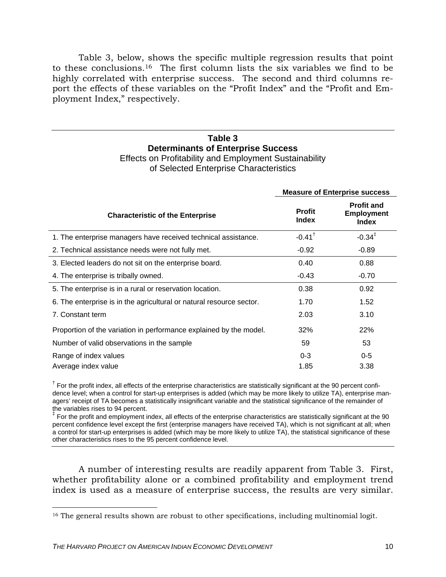[Table 3,](#page-9-0) below, shows the specific multiple regression results that point to these conclusions.16 The first column lists the six variables we find to be highly correlated wit[h e](#page-9-1)nterprise success. The second and third columns report the effects of these variables on the "Profit Index" and the "Profit and Employment Index," respectively.

#### <span id="page-9-0"></span>**Table 3 Determinants of Enterprise Success**  Effects on Profitability and Employment Sustainability

| ETHECTS ON PTOITCOULD THE CITY OF EXTINUOUS CHECTS ON PTOITCOULD |
|------------------------------------------------------------------|
| of Selected Enterprise Characteristics                           |
|                                                                  |

|                                                                      | <b>Measure of Enterprise success</b> |                                                        |
|----------------------------------------------------------------------|--------------------------------------|--------------------------------------------------------|
| <b>Characteristic of the Enterprise</b>                              | <b>Profit</b><br><b>Index</b>        | <b>Profit and</b><br><b>Employment</b><br><b>Index</b> |
| 1. The enterprise managers have received technical assistance.       | $-0.41$ <sup>†</sup>                 | $-0.34^{\ddagger}$                                     |
| 2. Technical assistance needs were not fully met.                    | $-0.92$                              | $-0.89$                                                |
| 3. Elected leaders do not sit on the enterprise board.               | 0.40                                 | 0.88                                                   |
| 4. The enterprise is tribally owned.                                 | $-0.43$                              | $-0.70$                                                |
| 5. The enterprise is in a rural or reservation location.             | 0.38                                 | 0.92                                                   |
| 6. The enterprise is in the agricultural or natural resource sector. | 1.70                                 | 1.52                                                   |
| 7. Constant term                                                     | 2.03                                 | 3.10                                                   |
| Proportion of the variation in performance explained by the model.   | 32%                                  | 22%                                                    |
| Number of valid observations in the sample                           | 59                                   | 53                                                     |
| Range of index values                                                | $0 - 3$                              | $0 - 5$                                                |
| Average index value                                                  | 1.85                                 | 3.38                                                   |

<sup>†</sup> For the profit index, all effects of the enterprise characteristics are statistically significant at the 90 percent confidence level; when a control for start-up enterprises is added (which may be more likely to utilize TA), enterprise managers' receipt of TA becomes a statistically insignificant variable and the statistical significance of the remainder of the variables rises to 94 percent.

‡ For the profit and employment index, all effects of the enterprise characteristics are statistically significant at the 90 percent confidence level except the first (enterprise managers have received TA), which is not significant at all; when a control for start-up enterprises is added (which may be more likely to utilize TA), the statistical significance of these other characteristics rises to the 95 percent confidence level.

A number of interesting results are readily apparent from [Table 3.](#page-9-0) First, whether profitability alone or a combined profitability and employment trend index is used as a measure of enterprise success, the results are very similar.

<span id="page-9-1"></span><sup>&</sup>lt;sup>16</sup> The general results shown are robust to other specifications, including multinomial logit.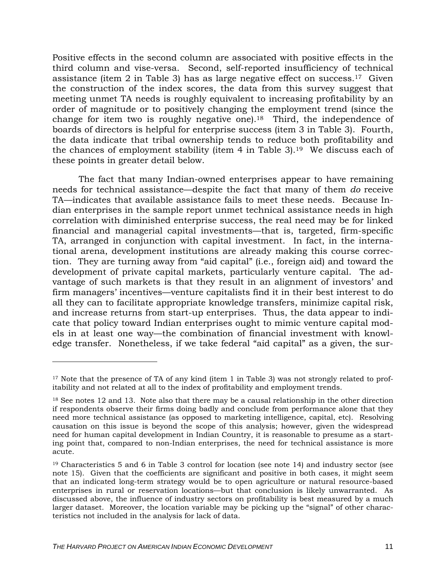Positive effects in the second column are associated with positive effects in the third column and vise-versa. Second, self-reported insufficiency of technical assistance (item 2 in [Table 3\)](#page-9-0) has as large negative effect on success.<sup>17</sup> Given the construction of the index scores, the data from this survey suggest that meeting unmet TA needs is roughly equivalent to increasing profitability by an order of magnitude or to positively changing the employment trend (since the change for item two is roughly negative one).[18](#page-10-1) Third, the independence of boards of directors is helpful for enterprise success (item 3 in [Table 3\)](#page-9-0). Fourth, the data indicate that tribal ownership tends to reduce both profitability and the chances of employment stability (item  $4$  in [Table 3\)](#page-9-0).<sup>19</sup> We discuss each of these points in greater detail below.

The fact that many Indian-owned enterprises appear to have remaining needs for technical assistance—despite the fact that many of them *do* receive TA—indicates that available assistance fails to meet these needs. Because Indian enterprises in the sample report unmet technical assistance needs in high correlation with diminished enterprise success, the real need may be for linked financial and managerial capital investments—that is, targeted, firm-specific TA, arranged in conjunction with capital investment. In fact, in the international arena, development institutions are already making this course correction. They are turning away from "aid capital" (i.e., foreign aid) and toward the development of private capital markets, particularly venture capital. The advantage of such markets is that they result in an alignment of investors' and firm managers' incentives—venture capitalists find it in their best interest to do all they can to facilitate appropriate knowledge transfers, minimize capital risk, and increase returns from start-up enterprises. Thus, the data appear to indicate that policy toward Indian enterprises ought to mimic venture capital models in at least one way—the combination of financial investment with knowledge transfer. Nonetheless, if we take federal "aid capital" as a given, the sur-

 $\overline{a}$ 

<span id="page-10-0"></span> $17$  Note that the presence of TA of any kind (item 1 in Table 3) was not strongly related to profitability and not related at all to the index of profitability and employment trends.

<span id="page-10-1"></span><sup>&</sup>lt;sup>18</sup> See notes 12 and 13. Note also that there may be a causal relationship in the other direction if respondents observe their firms doing badly and conclude from performance alone that they need more technical assistance (as opposed to marketing intelligence, capital, etc). Resolving causation on this issue is beyond the scope of this analysis; however, given the widespread need for human capital development in Indian Country, it is reasonable to presume as a starting point that, compared to non-Indian enterprises, the need for technical assistance is more acute.

<span id="page-10-2"></span> $19$  Characteristics 5 and 6 in Table 3 control for location (see note 14) and industry sector (see note 15). Given that the coefficients are significant and positive in both cases, it might seem that an indicated long-term strategy would be to open agriculture or natural resource-based enterprises in rural or reservation locations—but that conclusion is likely unwarranted. As discussed above, the influence of industry sectors on profitability is best measured by a much larger dataset. Moreover, the location variable may be picking up the "signal" of other characteristics not included in the analysis for lack of data.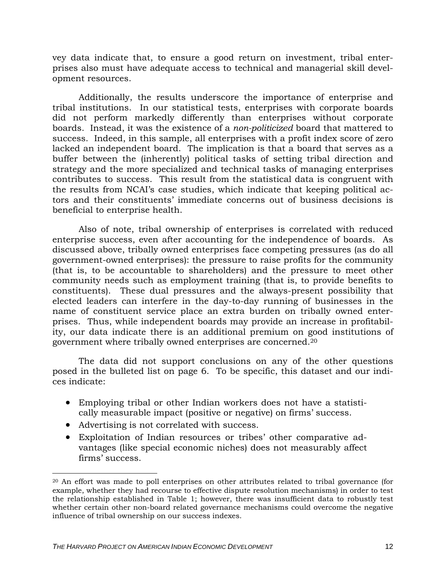vey data indicate that, to ensure a good return on investment, tribal enterprises also must have adequate access to technical and managerial skill development resources.

Additionally, the results underscore the importance of enterprise and tribal institutions. In our statistical tests, enterprises with corporate boards did not perform markedly differently than enterprises without corporate boards. Instead, it was the existence of a *non-politicized* board that mattered to success. Indeed, in this sample, all enterprises with a profit index score of zero lacked an independent board. The implication is that a board that serves as a buffer between the (inherently) political tasks of setting tribal direction and strategy and the more specialized and technical tasks of managing enterprises contributes to success. This result from the statistical data is congruent with the results from NCAI's case studies, which indicate that keeping political actors and their constituents' immediate concerns out of business decisions is beneficial to enterprise health.

Also of note, tribal ownership of enterprises is correlated with reduced enterprise success, even after accounting for the independence of boards. As discussed above, tribally owned enterprises face competing pressures (as do all government-owned enterprises): the pressure to raise profits for the community (that is, to be accountable to shareholders) and the pressure to meet other community needs such as employment training (that is, to provide benefits to constituents). These dual pressures and the always-present possibility that elected leaders can interfere in the day-to-day running of businesses in the name of constituent service place an extra burden on tribally owned enterprises. Thus, while independent boards may provide an increase in profitability, our data indicate there is an additional premium on good institutions of government where tribally owned enterprises are concerned[.](#page-11-0)20

The data did not support conclusions on any of the other questions posed in the bulleted list on page [6.](#page-6-0) To be specific, this dataset and our indices indicate:

- Employing tribal or other Indian workers does not have a statistically measurable impact (positive or negative) on firms' success.
- Advertising is not correlated with success.

 $\overline{a}$ 

• Exploitation of Indian resources or tribes' other comparative advantages (like special economic niches) does not measurably affect firms' success.

<span id="page-11-0"></span><sup>20</sup> An effort was made to poll enterprises on other attributes related to tribal governance (for example, whether they had recourse to effective dispute resolution mechanisms) in order to test the relationship established in Table 1; however, there was insufficient data to robustly test whether certain other non-board related governance mechanisms could overcome the negative influence of tribal ownership on our success indexes.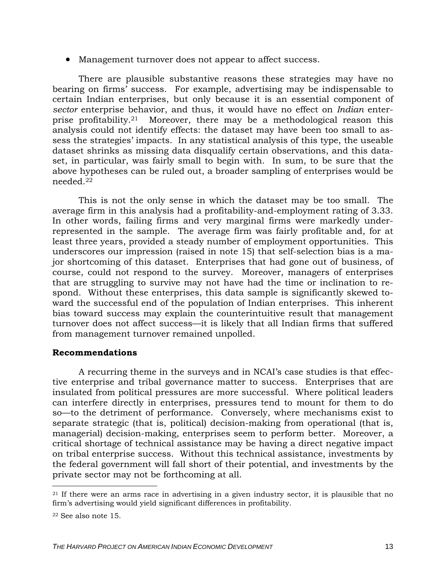• Management turnover does not appear to affect success.

There are plausible substantive reasons these strategies may have no bearing on firms' success. For example, advertising may be indispensable to certain Indian enterprises, but only because it is an essential component of *sector* enterprise behavior, and thus, it would have no effect on *Indian* enterprise profitability.21 Moreover, there may be a methodological reason this analysis could no[t id](#page-12-0)entify effects: the dataset may have been too small to assess the strategies' impacts. In any statistical analysis of this type, the useable dataset shrinks as missing data disqualify certain observations, and this dataset, in particular, was fairly small to begin with. In sum, to be sure that the above hypotheses can be ruled out, a broader sampling of enterprises would be needed.22

This is not the only sense in which the dataset may be too small. The average firm in this analysis had a profitability-and-employment rating of 3.33. In other words, failing firms and very marginal firms were markedly underrepresented in the sample. The average firm was fairly profitable and, for at least three years, provided a steady number of employment opportunities. This underscores our impression (raised in note 15) that self-selection bias is a major shortcoming of this dataset. Enterprise[s th](#page-8-2)at had gone out of business, of course, could not respond to the survey. Moreover, managers of enterprises that are struggling to survive may not have had the time or inclination to respond. Without these enterprises, this data sample is significantly skewed toward the successful end of the population of Indian enterprises. This inherent bias toward success may explain the counterintuitive result that management turnover does not affect success—it is likely that all Indian firms that suffered from management turnover remained unpolled.

### **Recommendations**

A recurring theme in the surveys and in NCAI's case studies is that effective enterprise and tribal governance matter to success. Enterprises that are insulated from political pressures are more successful. Where political leaders can interfere directly in enterprises, pressures tend to mount for them to do so—to the detriment of performance. Conversely, where mechanisms exist to separate strategic (that is, political) decision-making from operational (that is, managerial) decision-making, enterprises seem to perform better. Moreover, a critical shortage of technical assistance may be having a direct negative impact on tribal enterprise success. Without this technical assistance, investments by the federal government will fall short of their potential, and investments by the private sector may not be forthcoming at all.

 $\overline{a}$ 

<span id="page-12-0"></span> $21$  If there were an arms race in advertising in a given industry sector, it is plausible that no firm's advertising would yield significant differences in profitability.

<span id="page-12-1"></span><sup>22</sup> See also note 15.